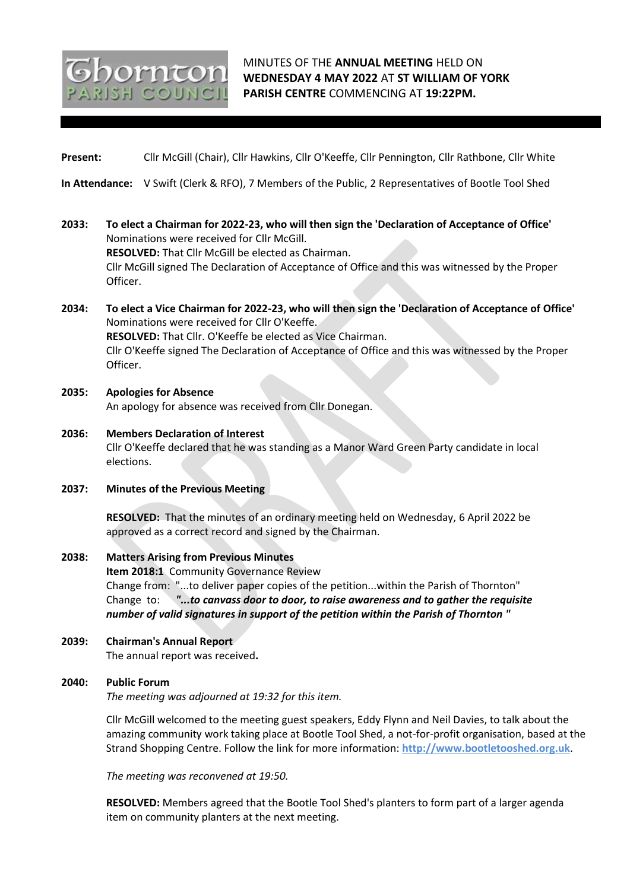# MINUTES OF THE **ANNUAL MEETING** HELD ON **WEDNESDAY 4 MAY 2022** AT **ST WILLIAM OF YORK PARISH CENTRE** COMMENCING AT **19:22PM.**

**Present:** Cllr McGill (Chair), Cllr Hawkins, Cllr O'Keeffe, Cllr Pennington, Cllr Rathbone, Cllr White

**In Attendance:** V Swift (Clerk & RFO), 7 Members of the Public, 2 Representatives of Bootle Tool Shed

- **2033: To elect a Chairman for 2022-23, who will then sign the 'Declaration of Acceptance of Office'** Nominations were received for Cllr McGill. **RESOLVED:** That Cllr McGill be elected as Chairman. Cllr McGill signed The Declaration of Acceptance of Office and this was witnessed by the Proper Officer.
- **2034: To elect a Vice Chairman for 2022-23, who will then sign the 'Declaration of Acceptance of Office'** Nominations were received for Cllr O'Keeffe. **RESOLVED:** That Cllr. O'Keeffe be elected as Vice Chairman. Cllr O'Keeffe signed The Declaration of Acceptance of Office and this was witnessed by the Proper Officer.
- **2035: Apologies for Absence** An apology for absence was received from Cllr Donegan.
- **2036: Members Declaration of Interest** Cllr O'Keeffe declared that he was standing as a Manor Ward Green Party candidate in local elections.
- **2037: Minutes of the Previous Meeting**

orn<del>c</del>or SH COUNC

**RESOLVED:** That the minutes of an ordinary meeting held on Wednesday, 6 April 2022 be approved as a correct record and signed by the Chairman.

## **2038: Matters Arising from Previous Minutes**

**Item 2018:1** Community Governance Review Change from: "...to deliver paper copies of the petition...within the Parish of Thornton" Change to: *"...to canvass door to door, to raise awareness and to gather the requisite number of valid signatures in support of the petition within the Parish of Thornton "*

**2039: Chairman's Annual Report**

The annual report was received**.**

#### **2040: Public Forum**

*The meeting was adjourned at 19:32 for this item.*

Cllr McGill welcomed to the meeting guest speakers, Eddy Flynn and Neil Davies, to talk about the amazing community work taking place at Bootle Tool Shed, a not-for-profit organisation, based at the Strand Shopping Centre. Follow the link for more information: **http://www.bootletooshed.org.uk**.

*The meeting was reconvened at 19:50.*

**RESOLVED:** Members agreed that the Bootle Tool Shed's planters to form part of a larger agenda item on community planters at the next meeting.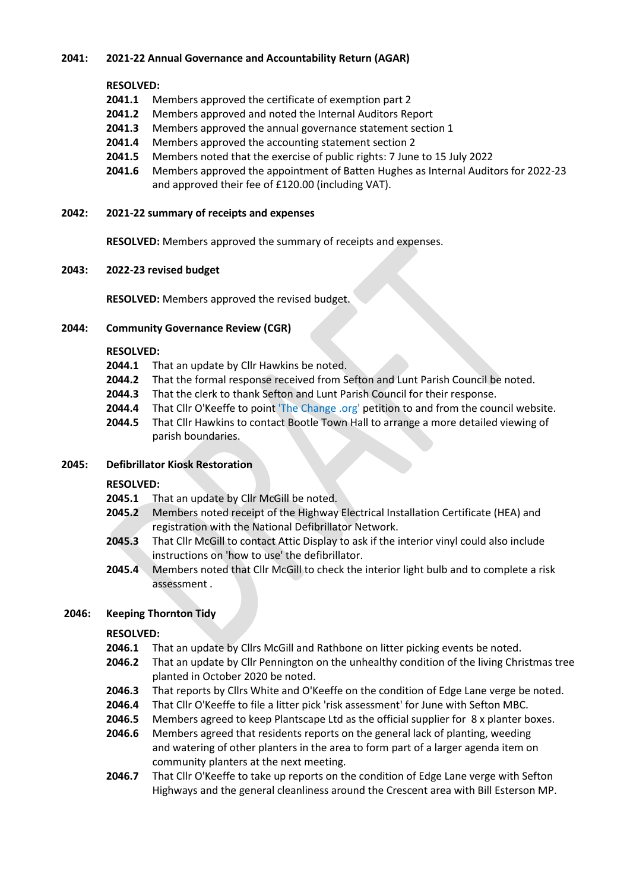# **2041: 2021-22 Annual Governance and Accountability Return (AGAR)**

# **RESOLVED:**

- **2041.1** Members approved the certificate of exemption part 2
- **2041.2** Members approved and noted the Internal Auditors Report
- **2041.3** Members approved the annual governance statement section 1
- **2041.4** Members approved the accounting statement section 2
- **2041.5** Members noted that the exercise of public rights: 7 June to 15 July 2022
- **2041.6** Members approved the appointment of Batten Hughes as Internal Auditors for 2022-23 and approved their fee of £120.00 (including VAT).
- **2042: 2021-22 summary of receipts and expenses**

**RESOLVED:** Members approved the summary of receipts and expenses.

## **2043: 2022-23 revised budget**

**RESOLVED:** Members approved the revised budget.

# **2044: Community Governance Review (CGR)**

## **RESOLVED:**

- **2044.1** That an update by Cllr Hawkins be noted.
- **2044.2** That the formal response received from Sefton and Lunt Parish Council be noted.
- **2044.3** That the clerk to thank Sefton and Lunt Parish Council for their response.
- **2044.4** That Cllr O'Keeffe to point 'The Change .org' petition to and from the council website.
- **2044.5** That Cllr Hawkins to contact Bootle Town Hall to arrange a more detailed viewing of parish boundaries.
- **2045: Defibrillator Kiosk Restoration**

# **RESOLVED:**

- **2045.1** That an update by Cllr McGill be noted.
- **2045.2** Members noted receipt of the Highway Electrical Installation Certificate (HEA) and registration with the National Defibrillator Network.
- **2045.3** That Cllr McGill to contact Attic Display to ask if the interior vinyl could also include instructions on 'how to use' the defibrillator.
- **2045.4** Members noted that Cllr McGill to check the interior light bulb and to complete a risk assessment .

# **2046: Keeping Thornton Tidy**

# **RESOLVED:**

- **2046.1** That an update by Cllrs McGill and Rathbone on litter picking events be noted.
- **2046.2** That an update by Cllr Pennington on the unhealthy condition of the living Christmas tree planted in October 2020 be noted.
- **2046.3** That reports by Cllrs White and O'Keeffe on the condition of Edge Lane verge be noted.
- **2046.4** That Cllr O'Keeffe to file a litter pick 'risk assessment' for June with Sefton MBC.
- **2046.5** Members agreed to keep Plantscape Ltd as the official supplier for 8 x planter boxes.
- **2046.6** Members agreed that residents reports on the general lack of planting, weeding and watering of other planters in the area to form part of a larger agenda item on community planters at the next meeting.
- **2046.7** That Cllr O'Keeffe to take up reports on the condition of Edge Lane verge with Sefton Highways and the general cleanliness around the Crescent area with Bill Esterson MP.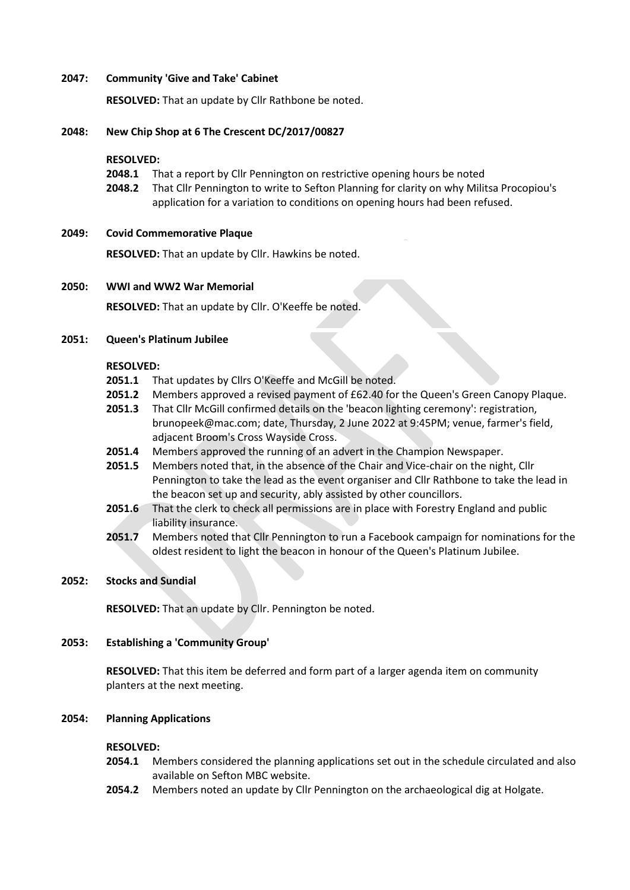### **2047: Community 'Give and Take' Cabinet**

**RESOLVED:** That an update by Cllr Rathbone be noted.

### **2048: New Chip Shop at 6 The Crescent DC/2017/00827**

#### **RESOLVED:**

- **2048.1** That a report by Cllr Pennington on restrictive opening hours be noted
- **2048.2** That Cllr Pennington to write to Sefton Planning for clarity on why Militsa Procopiou's application for a variation to conditions on opening hours had been refused.

#### **2049: Covid Commemorative Plaque**

**RESOLVED:** That an update by Cllr. Hawkins be noted.

#### **2050: WWI and WW2 War Memorial**

**RESOLVED:** That an update by Cllr. O'Keeffe be noted.

### **2051: Queen's Platinum Jubilee**

### **RESOLVED:**

- **2051.1** That updates by Cllrs O'Keeffe and McGill be noted.
- **2051.2** Members approved a revised payment of £62.40 for the Queen's Green Canopy Plaque.
- **2051.3** That Cllr McGill confirmed details on the 'beacon lighting ceremony': registration, brunopeek@mac.com; date, Thursday, 2 June 2022 at 9:45PM; venue, farmer's field, adjacent Broom's Cross Wayside Cross.
- **2051.4** Members approved the running of an advert in the Champion Newspaper.
- **2051.5** Members noted that, in the absence of the Chair and Vice-chair on the night, Cllr Pennington to take the lead as the event organiser and Cllr Rathbone to take the lead in the beacon set up and security, ably assisted by other councillors.
- **2051.6** That the clerk to check all permissions are in place with Forestry England and public liability insurance.
- **2051.7** Members noted that Cllr Pennington to run a Facebook campaign for nominations for the oldest resident to light the beacon in honour of the Queen's Platinum Jubilee.

#### **2052: Stocks and Sundial**

**RESOLVED:** That an update by Cllr. Pennington be noted.

## **2053: Establishing a 'Community Group'**

**RESOLVED:** That this item be deferred and form part of a larger agenda item on community planters at the next meeting.

#### **2054: Planning Applications**

#### **RESOLVED:**

- **2054.1** Members considered the planning applications set out in the schedule circulated and also available on Sefton MBC website.
- **2054.2** Members noted an update by Cllr Pennington on the archaeological dig at Holgate.